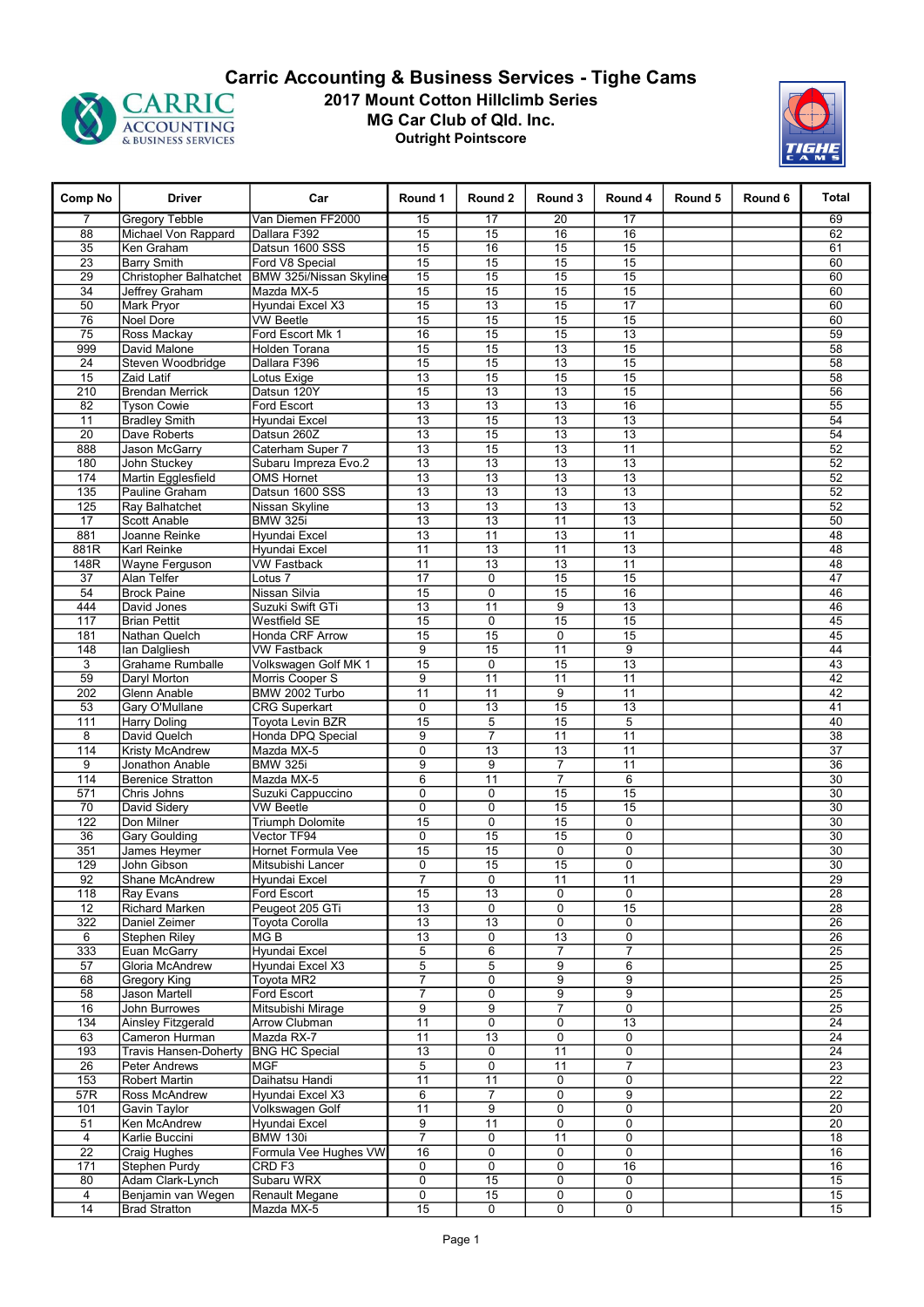

## 2017 Mount Cotton Hillclimb Series MG Car Club of Qld. Inc. Outright Pointscore **CARRIC 2017 Mount Cotton Hillclimb Series**<br>ACCOUNTING 40 ACCOUNTING ACCOUNTING ABUSINESS SERVICES **CARRIC ALCOUNTING**



| Comp No                            | <b>Driver</b>                            | Car                                                                 | Round 1                            | Round 2                     | Round 3               | Round 4               | Round 5 | Round 6 | Total           |
|------------------------------------|------------------------------------------|---------------------------------------------------------------------|------------------------------------|-----------------------------|-----------------------|-----------------------|---------|---------|-----------------|
| $\overline{7}$                     | <b>Gregory Tebble</b>                    | Van Diemen FF2000                                                   | 15                                 | 17                          | 20                    | 17                    |         |         | 69              |
| 88                                 | Michael Von Rappard                      | Dallara F392                                                        | 15                                 | 15                          | 16                    | 16                    |         |         | 62              |
| $\overline{35}$                    | Ken Graham                               | Datsun 1600 SSS                                                     | 15                                 | 16                          | 15                    | 15                    |         |         | 61              |
| $\overline{23}$<br>$\overline{29}$ | <b>Barry Smith</b>                       | Ford V8 Special<br>Christopher Balhatchet   BMW 325i/Nissan Skyline | 15<br>15                           | 15<br>15                    | 15<br>15              | 15<br>15              |         |         | 60<br>60        |
| $\overline{34}$                    | Jeffrey Graham                           | Mazda MX-5                                                          | 15                                 | 15                          | 15                    | 15                    |         |         | 60              |
| 50                                 | Mark Pryor                               | Hyundai Excel X3                                                    | 15                                 | 13                          | 15                    | 17                    |         |         | 60              |
| 76                                 | Noel Dore                                | <b>VW Beetle</b>                                                    | 15                                 | 15                          | 15                    | 15                    |         |         | 60              |
| 75                                 | Ross Mackay                              | Ford Escort Mk 1                                                    | 16                                 | 15                          | $\overline{15}$       | $\overline{13}$       |         |         | 59              |
| 999                                | David Malone                             | Holden Torana                                                       | 15                                 | 15                          | 13                    | 15                    |         |         | 58              |
| 24                                 | Steven Woodbridge                        | Dallara F396                                                        | 15                                 | 15                          | 13                    | 15                    |         |         | 58              |
| $\overline{15}$                    | Zaid Latif                               | Lotus Exige                                                         | $\overline{13}$                    | 15                          | 15                    | $\overline{15}$       |         |         | 58              |
| 210                                | <b>Brendan Merrick</b>                   | Datsun 120Y                                                         | 15                                 | 13                          | 13                    | 15                    |         |         | 56              |
| 82                                 | <b>Tyson Cowie</b>                       | Ford Escort                                                         | 13                                 | 13                          | 13                    | 16                    |         |         | 55              |
| 11                                 | <b>Bradley Smith</b>                     | Hyundai Excel                                                       | 13                                 | $\overline{15}$             | $\overline{13}$       | $\overline{13}$       |         |         | 54              |
| 20                                 | Dave Roberts                             | Datsun 260Z                                                         | 13                                 | 15                          | 13                    | 13                    |         |         | 54              |
| 888                                | Jason McGarry                            | Caterham Super 7                                                    | 13                                 | 15                          | 13                    | 11                    |         |         | 52              |
| 180                                | John Stuckey                             | Subaru Impreza Evo.2                                                | $\overline{13}$                    | $\overline{13}$             | 13                    | $\overline{13}$       |         |         | 52              |
| 174                                | Martin Egglesfield                       | <b>OMS Hornet</b>                                                   | 13                                 | 13                          | 13                    | 13                    |         |         | 52              |
| $\overline{135}$                   | Pauline Graham                           | Datsun 1600 SSS                                                     | 13                                 | 13                          | $\overline{13}$       | 13                    |         |         | 52              |
| 125                                | Ray Balhatchet                           | Nissan Skyline                                                      | $\overline{13}$                    | $\overline{13}$             | $\overline{13}$       | $\overline{13}$       |         |         | 52              |
| 17                                 | <b>Scott Anable</b>                      | <b>BMW 325i</b>                                                     | 13                                 | 13                          | 11                    | 13                    |         |         | 50              |
| 881<br>881R                        | Joanne Reinke<br>Karl Reinke             | Hyundai Excel                                                       | $\overline{13}$<br>$\overline{11}$ | 11<br>$\overline{13}$       | $\overline{13}$<br>11 | $\overline{11}$<br>13 |         |         | 48<br>48        |
| 148R                               | <b>Wayne Ferguson</b>                    | Hyundai Excel<br><b>VW Fastback</b>                                 | 11                                 | 13                          | 13                    | 11                    |         |         | 48              |
| 37                                 | Alan Telfer                              | Lotus <sub>7</sub>                                                  | $\overline{17}$                    | $\mathbf 0$                 | 15                    | 15                    |         |         | 47              |
| 54                                 | <b>Brock Paine</b>                       | Nissan Silvia                                                       | $\overline{15}$                    | $\mathbf 0$                 | 15                    | $\overline{16}$       |         |         | 46              |
| 444                                | David Jones                              | Suzuki Swift GTi                                                    | 13                                 | 11                          | 9                     | 13                    |         |         | 46              |
| 117                                | <b>Brian Pettit</b>                      | Westfield SE                                                        | 15                                 | 0                           | $\overline{15}$       | $\overline{15}$       |         |         | 45              |
| 181                                | Nathan Quelch                            | <b>Honda CRF Arrow</b>                                              | 15                                 | 15                          | $\mathbf 0$           | 15                    |         |         | 45              |
| 148                                | Ian Dalgliesh                            | <b>VW Fastback</b>                                                  | 9                                  | 15                          | 11                    | 9                     |         |         | 44              |
| 3                                  | <b>Grahame Rumballe</b>                  | Volkswagen Golf MK 1                                                | $\overline{15}$                    | 0                           | 15                    | $\overline{13}$       |         |         | 43              |
| 59                                 | Daryl Morton                             | Morris Cooper S                                                     | 9                                  | 11                          | 11                    | 11                    |         |         | 42              |
| 202                                | Glenn Anable                             | BMW 2002 Turbo                                                      | 11                                 | 11                          | 9                     | 11                    |         |         | 42              |
| 53                                 | Gary O'Mullane                           | <b>CRG Superkart</b>                                                | 0                                  | 13                          | 15                    | 13                    |         |         | 41              |
| 111                                | Harry Doling                             | <b>Toyota Levin BZR</b>                                             | 15                                 | $\overline{5}$              | 15                    | $\overline{5}$        |         |         | 40              |
| 8                                  | David Quelch                             | Honda DPQ Special                                                   | 9                                  | $\overline{7}$              | 11                    | 11                    |         |         | $\overline{38}$ |
| 114                                | Kristy McAndrew                          | Mazda MX-5                                                          | $\mathbf 0$                        | 13                          | 13                    | 11                    |         |         | $\overline{37}$ |
| 9                                  | Jonathon Anable                          | <b>BMW 325i</b>                                                     | $\overline{9}$                     | 9                           | $\overline{7}$        | 11                    |         |         | 36              |
| 114                                | <b>Berenice Stratton</b>                 | Mazda MX-5                                                          | 6                                  | $\overline{11}$             | $\overline{7}$        | 6                     |         |         | $\overline{30}$ |
| 571<br>70                          | Chris Johns<br>David Sidery              | Suzuki Cappuccino<br><b>VW Beetle</b>                               | 0<br>$\overline{0}$                | $\pmb{0}$<br>$\overline{0}$ | 15<br>15              | 15<br>15              |         |         | 30<br>30        |
| 122                                | Don Milner                               | <b>Triumph Dolomite</b>                                             | 15                                 | 0                           | 15                    | 0                     |         |         | 30              |
| 36                                 | <b>Gary Goulding</b>                     | Vector TF94                                                         | 0                                  | 15                          | 15                    | 0                     |         |         | 30              |
| 351                                | James Heymer                             | Hornet Formula Vee                                                  | $\overline{15}$                    | 15                          | $\overline{0}$        | $\overline{0}$        |         |         | 30              |
| 129                                | John Gibson                              | Mitsubishi Lancer                                                   | 0                                  | 15                          | 15                    | 0                     |         |         | $\overline{30}$ |
| $\overline{92}$                    | Shane McAndrew                           | Hyundai Excel                                                       | $\overline{7}$                     | 0                           | 11                    | $\overline{11}$       |         |         | $\overline{29}$ |
| 118                                | Ray Evans                                | Ford Escort                                                         | 15                                 | 13                          | $\overline{0}$        | $\overline{0}$        |         |         | 28              |
| 12                                 | Richard Marken                           | Peugeot 205 GTi                                                     | $\overline{13}$                    | 0                           | 0                     | $\overline{15}$       |         |         | $\overline{28}$ |
| 322                                | Daniel Zeimer                            | <b>Toyota Corolla</b>                                               | 13                                 | 13                          | $\mathbf 0$           | 0                     |         |         | 26              |
| 6                                  | Stephen Riley                            | MG B                                                                | 13                                 | 0                           | 13                    | $\mathbf 0$           |         |         | $\overline{26}$ |
| 333                                | Euan McGarry                             | <b>Hyundai Excel</b>                                                | 5                                  | 6                           | $\overline{7}$        | $\overline{7}$        |         |         | $\overline{25}$ |
| 57                                 | Gloria McAndrew                          | Hyundai Excel X3                                                    | $\overline{5}$                     | 5                           | 9                     | 6                     |         |         | 25              |
| 68                                 | <b>Gregory King</b>                      | Toyota MR2                                                          | 7                                  | 0                           | 9                     | 9                     |         |         | $\overline{25}$ |
| 58                                 | <b>Jason Martell</b>                     | Ford Escort                                                         | 7                                  | 0                           | 9                     | 9                     |         |         | $\overline{25}$ |
| 16                                 | John Burrowes                            | Mitsubishi Mirage                                                   | 9                                  | 9                           | $\overline{7}$        | 0                     |         |         | 25              |
| 134                                | Ainsley Fitzgerald                       | Arrow Clubman                                                       | 11                                 | 0                           | 0                     | 13                    |         |         | $\overline{24}$ |
| 63                                 | Cameron Hurman                           | Mazda RX-7                                                          | 11                                 | $\overline{13}$             | 0                     | $\mathbf 0$           |         |         | $\overline{24}$ |
| 193                                | <b>Travis Hansen-Doherty</b>             | <b>BNG HC Special</b>                                               | $\overline{13}$                    | 0                           | 11                    | 0                     |         |         | $\overline{24}$ |
| $\overline{26}$                    | <b>Peter Andrews</b>                     | MGF                                                                 | $\overline{5}$                     | 0                           | 11                    | $\overline{7}$        |         |         | $\overline{23}$ |
| 153                                | Robert Martin                            | Daihatsu Handi                                                      | 11                                 | 11                          | 0                     | 0                     |         |         | $\overline{22}$ |
| 57R                                | Ross McAndrew                            | Hyundai Excel X3                                                    | $6\overline{6}$                    | $\overline{7}$              | $\overline{0}$        | $\overline{9}$        |         |         | $\overline{22}$ |
| 101                                | Gavin Taylor                             | Volkswagen Golf                                                     | 11                                 | 9                           | $\pmb{0}$             | 0                     |         |         | 20              |
| 51                                 | Ken McAndrew                             | Hyundai Excel                                                       | 9<br>$\overline{7}$                | $\overline{11}$             | 0                     | $\mathbf 0$           |         |         | $\overline{20}$ |
| $\overline{4}$                     | Karlie Buccini                           | <b>BMW 130i</b>                                                     |                                    | 0                           | 11                    | 0<br>0                |         |         | 18              |
| $\overline{22}$                    | Craig Hughes                             | Formula Vee Hughes VW<br>CRD <sub>F3</sub>                          | 16<br>0                            | 0                           | 0<br>0                |                       |         |         | 16              |
| 171<br>80                          | <b>Stephen Purdy</b><br>Adam Clark-Lynch | Subaru WRX                                                          | 0                                  | 0<br>15                     | 0                     | 16<br>0               |         |         | 16<br>15        |
| $\overline{4}$                     | Benjamin van Wegen                       | Renault Megane                                                      | $\overline{0}$                     | 15                          | 0                     | $\overline{0}$        |         |         | 15              |
| 14                                 | <b>Brad Stratton</b>                     | Mazda MX-5                                                          | 15                                 | $\mathbf 0$                 | 0                     | 0                     |         |         | 15              |
|                                    |                                          |                                                                     |                                    |                             |                       |                       |         |         |                 |